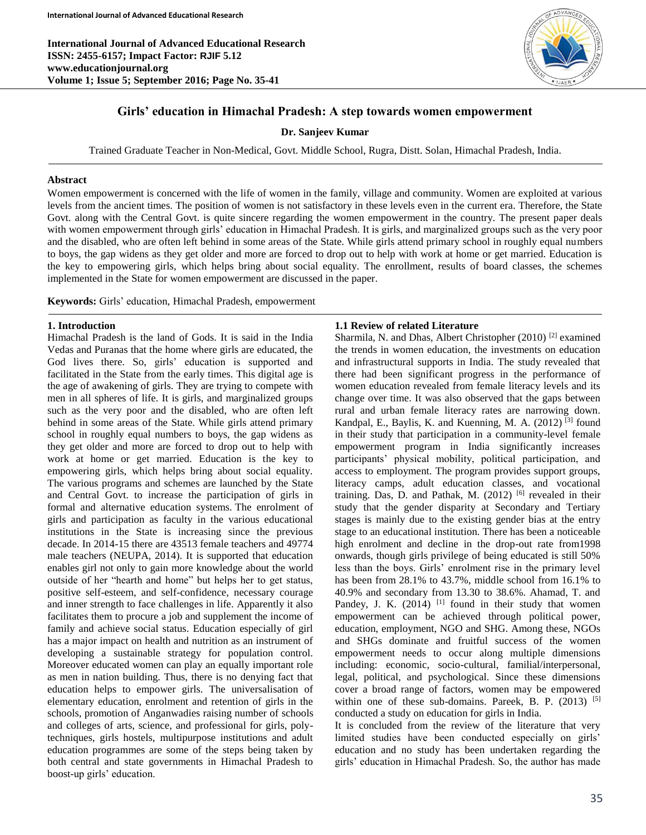**International Journal of Advanced Educational Research ISSN: 2455-6157; Impact Factor: RJIF 5.12 www.educationjournal.org Volume 1; Issue 5; September 2016; Page No. 35-41**



# **Girls' education in Himachal Pradesh: A step towards women empowerment**

#### **Dr. Sanjeev Kumar**

Trained Graduate Teacher in Non-Medical, Govt. Middle School, Rugra, Distt. Solan, Himachal Pradesh, India.

## **Abstract**

Women empowerment is concerned with the life of women in the family, village and community. Women are exploited at various levels from the ancient times. The position of women is not satisfactory in these levels even in the current era. Therefore, the State Govt. along with the Central Govt. is quite sincere regarding the women empowerment in the country. The present paper deals with women empowerment through girls' education in Himachal Pradesh. It is girls, and marginalized groups such as the very poor and the disabled, who are often left behind in some areas of the State. While girls attend primary school in roughly equal numbers to boys, the gap widens as they get older and more are forced to drop out to help with work at home or get married. Education is the key to empowering girls, which helps bring about social equality. The enrollment, results of board classes, the schemes implemented in the State for women empowerment are discussed in the paper.

**Keywords:** Girls' education, Himachal Pradesh, empowerment

#### **1. Introduction**

Himachal Pradesh is the land of Gods. It is said in the India Vedas and Puranas that the home where girls are educated, the God lives there. So, girls' education is supported and facilitated in the State from the early times. This digital age is the age of awakening of girls. They are trying to compete with men in all spheres of life. It is girls, and marginalized groups such as the very poor and the disabled, who are often left behind in some areas of the State. While girls attend primary school in roughly equal numbers to boys, the gap widens as they get older and more are forced to drop out to help with work at home or get married. Education is the key to empowering girls, which helps bring about social equality. The various programs and schemes are launched by the State and Central Govt. to increase the participation of girls in formal and alternative education systems. The enrolment of girls and participation as faculty in the various educational institutions in the State is increasing since the previous decade. In 2014-15 there are 43513 female teachers and 49774 male teachers (NEUPA, 2014). It is supported that education enables girl not only to gain more knowledge about the world outside of her "hearth and home" but helps her to get status, positive self-esteem, and self-confidence, necessary courage and inner strength to face challenges in life. Apparently it also facilitates them to procure a job and supplement the income of family and achieve social status. Education especially of girl has a major impact on health and nutrition as an instrument of developing a sustainable strategy for population control. Moreover educated women can play an equally important role as men in nation building. Thus, there is no denying fact that education helps to empower girls. The universalisation of elementary education, enrolment and retention of girls in the schools, promotion of Anganwadies raising number of schools and colleges of arts, science, and professional for girls, polytechniques, girls hostels, multipurpose institutions and adult education programmes are some of the steps being taken by both central and state governments in Himachal Pradesh to boost-up girls' education.

#### **1.1 Review of related Literature**

Sharmila, N. and Dhas, Albert Christopher (2010) [2] examined the trends in women education, the investments on education and infrastructural supports in India. The study revealed that there had been significant progress in the performance of women education revealed from female literacy levels and its change over time. It was also observed that the gaps between rural and urban female literacy rates are narrowing down. Kandpal, E., Baylis, K. and Kuenning, M. A. (2012)<sup>[3]</sup> found in their study that participation in a community-level female empowerment program in India significantly increases participants' physical mobility, political participation, and access to employment. The program provides support groups, literacy camps, adult education classes, and vocational training. Das, D. and Pathak, M. (2012)<sup>[6]</sup> revealed in their study that the gender disparity at Secondary and Tertiary stages is mainly due to the existing gender bias at the entry stage to an educational institution. There has been a noticeable high enrolment and decline in the drop-out rate from1998 onwards, though girls privilege of being educated is still 50% less than the boys. Girls' enrolment rise in the primary level has been from 28.1% to 43.7%, middle school from 16.1% to 40.9% and secondary from 13.30 to 38.6%. Ahamad, T. and Pandey, J. K.  $(2014)$ <sup>[1]</sup> found in their study that women empowerment can be achieved through political power, education, employment, NGO and SHG. Among these, NGOs and SHGs dominate and fruitful success of the women empowerment needs to occur along multiple dimensions including: economic, socio-cultural, familial/interpersonal, legal, political, and psychological. Since these dimensions cover a broad range of factors, women may be empowered within one of these sub-domains. Pareek, B. P. (2013) <sup>[5]</sup> conducted a study on education for girls in India.

It is concluded from the review of the literature that very limited studies have been conducted especially on girls' education and no study has been undertaken regarding the girls' education in Himachal Pradesh. So, the author has made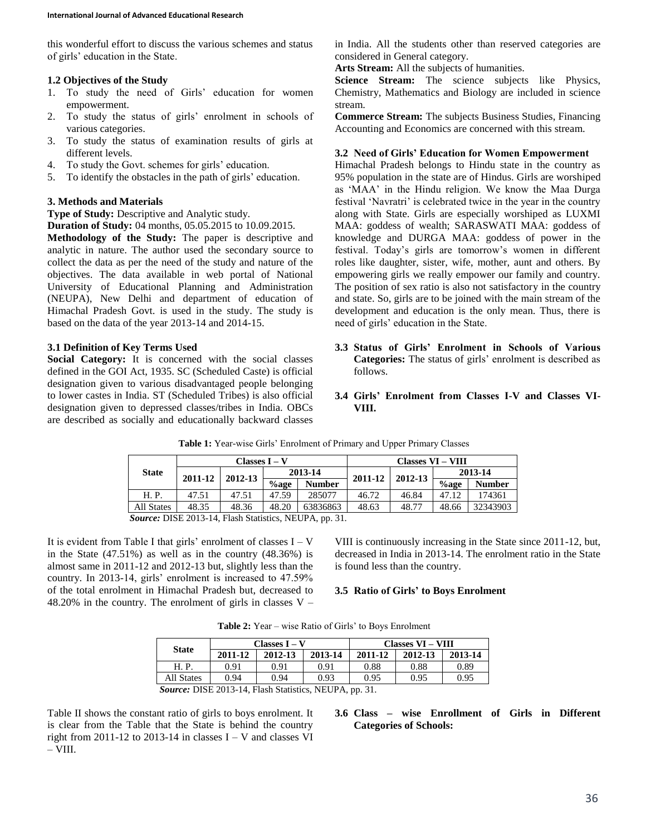this wonderful effort to discuss the various schemes and status of girls' education in the State.

## **1.2 Objectives of the Study**

- 1. To study the need of Girls' education for women empowerment.
- 2. To study the status of girls' enrolment in schools of various categories.
- 3. To study the status of examination results of girls at different levels.
- 4. To study the Govt. schemes for girls' education.
- 5. To identify the obstacles in the path of girls' education.

## **3. Methods and Materials**

**Type of Study:** Descriptive and Analytic study.

**Duration of Study:** 04 months, 05.05.2015 to 10.09.2015.

**Methodology of the Study:** The paper is descriptive and analytic in nature. The author used the secondary source to collect the data as per the need of the study and nature of the objectives. The data available in web portal of National University of Educational Planning and Administration (NEUPA), New Delhi and department of education of Himachal Pradesh Govt. is used in the study. The study is based on the data of the year 2013-14 and 2014-15.

## **3.1 Definition of Key Terms Used**

**Social Category:** It is concerned with the social classes defined in the GOI Act, 1935. SC (Scheduled Caste) is official designation given to various disadvantaged people belonging to lower castes in India. ST (Scheduled Tribes) is also official designation given to depressed classes/tribes in India. OBCs are described as socially and educationally backward classes

in India. All the students other than reserved categories are considered in General category.

**Arts Stream:** All the subjects of humanities.

**Science Stream:** The science subjects like Physics, Chemistry, Mathematics and Biology are included in science stream.

**Commerce Stream:** The subjects Business Studies, Financing Accounting and Economics are concerned with this stream.

## **3.2 Need of Girls' Education for Women Empowerment**

Himachal Pradesh belongs to Hindu state in the country as 95% population in the state are of Hindus. Girls are worshiped as 'MAA' in the Hindu religion. We know the Maa Durga festival 'Navratri' is celebrated twice in the year in the country along with State. Girls are especially worshiped as LUXMI MAA: goddess of wealth; SARASWATI MAA: goddess of knowledge and DURGA MAA: goddess of power in the festival. Today's girls are tomorrow's women in different roles like daughter, sister, wife, mother, aunt and others. By empowering girls we really empower our family and country. The position of sex ratio is also not satisfactory in the country and state. So, girls are to be joined with the main stream of the development and education is the only mean. Thus, there is need of girls' education in the State.

- **3.3 Status of Girls' Enrolment in Schools of Various Categories:** The status of girls' enrolment is described as follows.
- **3.4 Girls' Enrolment from Classes I-V and Classes VI-VIII.**

|                                                    |         | Classes I – V |         |               | <b>Classes VI - VIII</b> |         |         |               |
|----------------------------------------------------|---------|---------------|---------|---------------|--------------------------|---------|---------|---------------|
| <b>State</b>                                       | 2011-12 | 2012-13       |         | 2013-14       |                          | 2012-13 | 2013-14 |               |
|                                                    |         |               | $%$ age | <b>Number</b> | 2011-12                  |         | $%$ age | <b>Number</b> |
| H. P.                                              | 47.51   | 47.51         | 47.59   | 285077        | 46.72                    | 46.84   | 47.12   | 174361        |
| <b>All States</b>                                  | 48.35   | 48.36         | 48.20   | 63836863      | 48.63                    | 48.77   | 48.66   | 32343903      |
| Correct DICE 2012 14 Elect Ctotistics MELIDA an 21 |         |               |         |               |                          |         |         |               |

**Table 1:** Year-wise Girls' Enrolment of Primary and Upper Primary Classes

*Source:* DISE 2013-14, Flash Statistics, NEUPA, pp. 31.

It is evident from Table I that girls' enrolment of classes  $I - V$ in the State (47.51%) as well as in the country (48.36%) is almost same in 2011-12 and 2012-13 but, slightly less than the country. In 2013-14, girls' enrolment is increased to 47.59% of the total enrolment in Himachal Pradesh but, decreased to 48.20% in the country. The enrolment of girls in classes  $V -$ 

VIII is continuously increasing in the State since 2011-12, but, decreased in India in 2013-14. The enrolment ratio in the State is found less than the country.

## **3.5 Ratio of Girls' to Boys Enrolment**

| <b>Table 2:</b> Year – wise Ratio of Girls' to Boys Enrolment |  |  |  |  |
|---------------------------------------------------------------|--|--|--|--|
|                                                               |  |  |  |  |

| <b>State</b> |                                               | $\text{Classes} \mathbf{I} - \mathbf{V}$ |         | <b>Classes VI - VIII</b> |         |         |  |  |  |
|--------------|-----------------------------------------------|------------------------------------------|---------|--------------------------|---------|---------|--|--|--|
|              | 2011-12                                       | 2012-13                                  | 2013-14 | 2011-12                  | 2012-13 | 2013-14 |  |  |  |
| H. P.        | 0.91                                          | 0.91                                     | 0.91    | 0.88                     | 0.88    | 0.89    |  |  |  |
| All States   | 0.94                                          | 0.94                                     | 0.93    | 0.95                     | 0.95    | 0.95    |  |  |  |
|              | $\sim$ DIGP 0012 14 FL 1 GeV $\sim$ MELIDA 21 |                                          |         |                          |         |         |  |  |  |

*Source:* DISE 2013-14, Flash Statistics, NEUPA, pp. 31.

Table II shows the constant ratio of girls to boys enrolment. It is clear from the Table that the State is behind the country right from 2011-12 to 2013-14 in classes  $I - V$  and classes VI  $-$  VIII.

# **3.6 Class – wise Enrollment of Girls in Different Categories of Schools:**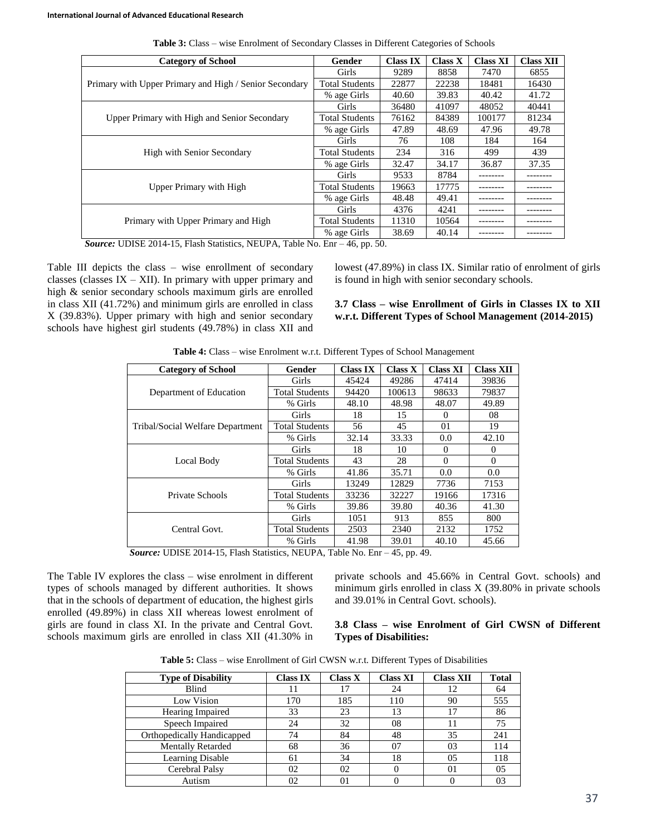| <b>Category of School</b>                              | Gender                | <b>Class IX</b> | Class X | <b>Class XI</b> | <b>Class XII</b> |
|--------------------------------------------------------|-----------------------|-----------------|---------|-----------------|------------------|
|                                                        | Girls                 | 9289            | 8858    | 7470            | 6855             |
| Primary with Upper Primary and High / Senior Secondary | <b>Total Students</b> | 22877           | 22238   | 18481           | 16430            |
|                                                        | % age Girls           | 40.60           | 39.83   | 40.42           | 41.72            |
|                                                        | Girls                 | 36480           | 41097   | 48052           | 40441            |
| Upper Primary with High and Senior Secondary           | <b>Total Students</b> | 76162           | 84389   | 100177          | 81234            |
|                                                        | % age Girls           | 47.89           | 48.69   | 47.96           | 49.78            |
|                                                        | Girls                 | 76              | 108     | 184             | 164              |
| High with Senior Secondary                             | <b>Total Students</b> | 234             | 316     | 499             | 439              |
|                                                        | % age Girls           | 32.47           | 34.17   | 36.87           | 37.35            |
|                                                        | Girls                 | 9533            | 8784    | --------        |                  |
| Upper Primary with High                                | <b>Total Students</b> | 19663           | 17775   |                 |                  |
|                                                        | % age Girls           | 48.48           | 49.41   |                 |                  |
|                                                        | Girls                 | 4376            | 4241    |                 |                  |
| Primary with Upper Primary and High                    | <b>Total Students</b> | 11310           | 10564   |                 |                  |
|                                                        | % age Girls           | 38.69           | 40.14   |                 |                  |

**Table 3:** Class – wise Enrolment of Secondary Classes in Different Categories of Schools

*Source:* UDISE 2014-15, Flash Statistics, NEUPA, Table No. Enr – 46, pp. 50.

Table III depicts the class – wise enrollment of secondary classes (classes  $IX - XII$ ). In primary with upper primary and high & senior secondary schools maximum girls are enrolled in class XII (41.72%) and minimum girls are enrolled in class X (39.83%). Upper primary with high and senior secondary schools have highest girl students (49.78%) in class XII and

lowest (47.89%) in class IX. Similar ratio of enrolment of girls is found in high with senior secondary schools.

**3.7 Class – wise Enrollment of Girls in Classes IX to XII w.r.t. Different Types of School Management (2014-2015)**

| <b>Category of School</b>        | Gender                | <b>Class IX</b> | <b>Class X</b> | <b>Class XI</b> | <b>Class XII</b> |
|----------------------------------|-----------------------|-----------------|----------------|-----------------|------------------|
|                                  | Girls                 | 45424           | 49286          | 47414           | 39836            |
| Department of Education          | <b>Total Students</b> | 94420           | 100613         | 98633           | 79837            |
|                                  | % Girls               | 48.10           | 48.98          | 48.07           | 49.89            |
|                                  | Girls                 | 18              | 15             | $\theta$        | 08               |
| Tribal/Social Welfare Department | <b>Total Students</b> | 56              | 45             | 01              | 19               |
|                                  | % Girls               | 32.14           | 33.33          | 0.0             | 42.10            |
|                                  | Girls                 | 18              | 10             | $\Omega$        | $\Omega$         |
| Local Body                       | <b>Total Students</b> | 43              | 28             | $\Omega$        | $\Omega$         |
|                                  | % Girls               | 41.86           | 35.71          | 0.0             | 0.0              |
|                                  | Girls                 | 13249           | 12829          | 7736            | 7153             |
| Private Schools                  | <b>Total Students</b> | 33236           | 32227          | 19166           | 17316            |
|                                  | % Girls               | 39.86           | 39.80          | 40.36           | 41.30            |
|                                  | Girls                 | 1051            | 913            | 855             | 800              |
| Central Govt.                    | <b>Total Students</b> | 2503            | 2340           | 2132            | 1752             |
|                                  | % Girls               | 41.98           | 39.01          | 40.10           | 45.66            |

**Table 4:** Class – wise Enrolment w.r.t. Different Types of School Management

*Source:* UDISE 2014-15, Flash Statistics, NEUPA, Table No. Enr – 45, pp. 49.

The Table IV explores the class – wise enrolment in different types of schools managed by different authorities. It shows that in the schools of department of education, the highest girls enrolled (49.89%) in class XII whereas lowest enrolment of girls are found in class XI. In the private and Central Govt. schools maximum girls are enrolled in class XII (41.30% in private schools and 45.66% in Central Govt. schools) and minimum girls enrolled in class X (39.80% in private schools and 39.01% in Central Govt. schools).

## **3.8 Class – wise Enrolment of Girl CWSN of Different Types of Disabilities:**

|  |  |  |  | <b>Table 5:</b> Class – wise Enrollment of Girl CWSN w.r.t. Different Types of Disabilities |  |
|--|--|--|--|---------------------------------------------------------------------------------------------|--|
|--|--|--|--|---------------------------------------------------------------------------------------------|--|

| <b>Type of Disability</b>  | Class IX | Class X | <b>Class XI</b> | <b>Class XII</b> | <b>Total</b> |
|----------------------------|----------|---------|-----------------|------------------|--------------|
| Blind                      |          | 17      | 24              | 12               | 64           |
| Low Vision                 | 170      | 185     | 110             | 90               | 555          |
| Hearing Impaired           | 33       | 23      |                 | 17               | 86           |
| Speech Impaired            | 24       | 32      | 08              |                  | 75           |
| Orthopedically Handicapped | 74       | 84      | 48              | 35               | 241          |
| <b>Mentally Retarded</b>   | 68       | 36      | 07              | 03               | 114          |
| Learning Disable           | 61       | 34      | 18              | 05               | 118          |
| Cerebral Palsy             | 02       | 02      |                 | $^{01}$          | 0.5          |
| Autism                     | 02       |         |                 |                  |              |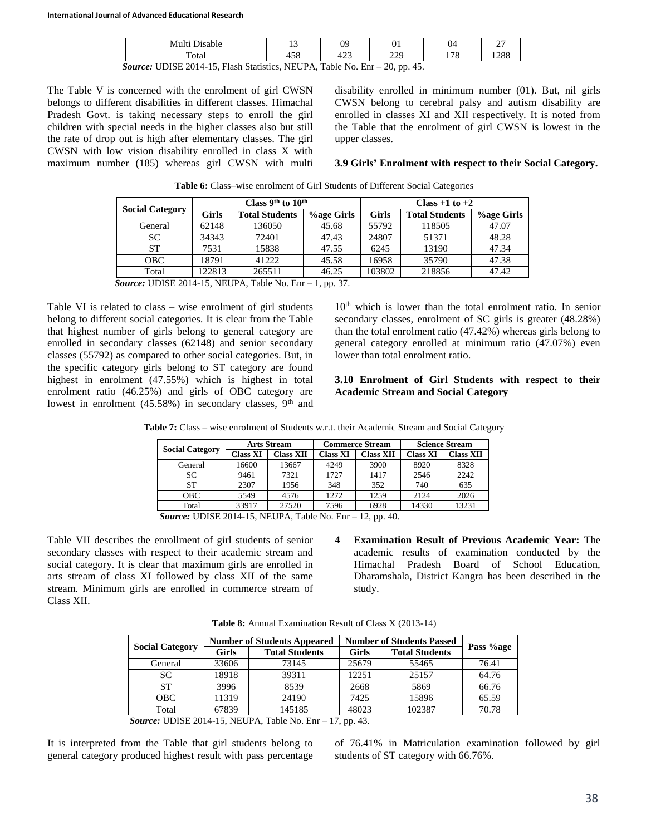| Multi Disable                                                                        |     | 09  |     | 04  | $\sim$<br>∼ |  |  |  |
|--------------------------------------------------------------------------------------|-----|-----|-----|-----|-------------|--|--|--|
| Total                                                                                | 458 | 423 | 229 | 178 | 1288        |  |  |  |
| <i>Source:</i> UDISE 2014-15, Flash Statistics, NEUPA, Table No. Enr $-$ 20, pp. 45. |     |     |     |     |             |  |  |  |

The Table V is concerned with the enrolment of girl CWSN belongs to different disabilities in different classes. Himachal Pradesh Govt. is taking necessary steps to enroll the girl children with special needs in the higher classes also but still the rate of drop out is high after elementary classes. The girl CWSN with low vision disability enrolled in class X with maximum number (185) whereas girl CWSN with multi

disability enrolled in minimum number (01). But, nil girls CWSN belong to cerebral palsy and autism disability are enrolled in classes XI and XII respectively. It is noted from the Table that the enrolment of girl CWSN is lowest in the upper classes.

### **3.9 Girls' Enrolment with respect to their Social Category.**

| <b>Social Category</b> |              | Class 9 <sup>th</sup> to $10^{th}$ |                   | Class $+1$ to $+2$ |                       |                   |  |
|------------------------|--------------|------------------------------------|-------------------|--------------------|-----------------------|-------------------|--|
|                        | <b>Girls</b> | <b>Total Students</b>              | <b>%age Girls</b> | Girls              | <b>Total Students</b> | <b>Vage Girls</b> |  |
| General                | 62148        | 136050                             | 45.68             | 55792              | 118505                | 47.07             |  |
| SC.                    | 34343        | 72401                              | 47.43             | 24807              | 51371                 | 48.28             |  |
| <b>ST</b>              | 7531         | 15838                              | 47.55             | 6245               | 13190                 | 47.34             |  |
| OBC.                   | 18791        | 41222                              | 45.58             | 16958              | 35790                 | 47.38             |  |
| Total                  | 122813       | 265511                             | 46.25             | 103802             | 218856                | 47.42             |  |

**Table 6:** Class–wise enrolment of Girl Students of Different Social Categories

*Source:* UDISE 2014-15, NEUPA, Table No. Enr – 1, pp. 37.

Table VI is related to class – wise enrolment of girl students belong to different social categories. It is clear from the Table that highest number of girls belong to general category are enrolled in secondary classes (62148) and senior secondary classes (55792) as compared to other social categories. But, in the specific category girls belong to ST category are found highest in enrolment (47.55%) which is highest in total enrolment ratio (46.25%) and girls of OBC category are lowest in enrolment  $(45.58\%)$  in secondary classes, 9<sup>th</sup> and

 $10<sup>th</sup>$  which is lower than the total enrolment ratio. In senior secondary classes, enrolment of SC girls is greater (48.28%) than the total enrolment ratio (47.42%) whereas girls belong to general category enrolled at minimum ratio (47.07%) even lower than total enrolment ratio.

## **3.10 Enrolment of Girl Students with respect to their Academic Stream and Social Category**

|  |  | Table 7: Class - wise enrolment of Students w.r.t. their Academic Stream and Social Category |  |  |  |  |  |  |
|--|--|----------------------------------------------------------------------------------------------|--|--|--|--|--|--|
|--|--|----------------------------------------------------------------------------------------------|--|--|--|--|--|--|

|                        | <b>Arts Stream</b> |           |          | <b>Commerce Stream</b> | <b>Science Stream</b> |           |  |
|------------------------|--------------------|-----------|----------|------------------------|-----------------------|-----------|--|
| <b>Social Category</b> | <b>Class XI</b>    | Class XII | Class XI | <b>Class XII</b>       | <b>Class XI</b>       | Class XII |  |
| General                | 16600              | 13667     | 4249     | 3900                   | 8920                  | 8328      |  |
| SC.                    | 9461               | 7321      | 1727     | 1417                   | 2546                  | 2242      |  |
| ST                     | 2307               | 1956      | 348      | 352                    | 740                   | 635       |  |
| OBC                    | 5549               | 4576      | 1272     | 1259                   | 2124                  | 2026      |  |
| Total                  | 33917              | 27520     | 7596     | 6928                   | 14330                 | 13231     |  |

*Source:* UDISE 2014-15, NEUPA, Table No. Enr – 12, pp. 40.

Table VII describes the enrollment of girl students of senior secondary classes with respect to their academic stream and social category. It is clear that maximum girls are enrolled in arts stream of class XI followed by class XII of the same stream. Minimum girls are enrolled in commerce stream of Class XII.

**4 Examination Result of Previous Academic Year:** The academic results of examination conducted by the Himachal Pradesh Board of School Education, Dharamshala, District Kangra has been described in the study.

**Table 8:** Annual Examination Result of Class X (2013-14)

|                        |              | <b>Number of Students Appeared</b> |       | <b>Number of Students Passed</b> |           |
|------------------------|--------------|------------------------------------|-------|----------------------------------|-----------|
| <b>Social Category</b> | <b>Girls</b> | <b>Total Students</b>              | Girls | <b>Total Students</b>            | Pass %age |
| General                | 33606        | 73145                              | 25679 | 55465                            | 76.41     |
| SC.                    | 18918        | 39311                              | 12251 | 25157                            | 64.76     |
| ST                     | 3996         | 8539                               | 2668  | 5869                             | 66.76     |
| OBC.                   | 11319        | 24190                              | 7425  | 15896                            | 65.59     |
| Total                  | 67839        | 145185                             | 48023 | 102387                           | 70.78     |

*Source:* UDISE 2014-15, NEUPA, Table No. Enr – 17, pp. 43.

It is interpreted from the Table that girl students belong to general category produced highest result with pass percentage of 76.41% in Matriculation examination followed by girl students of ST category with 66.76%.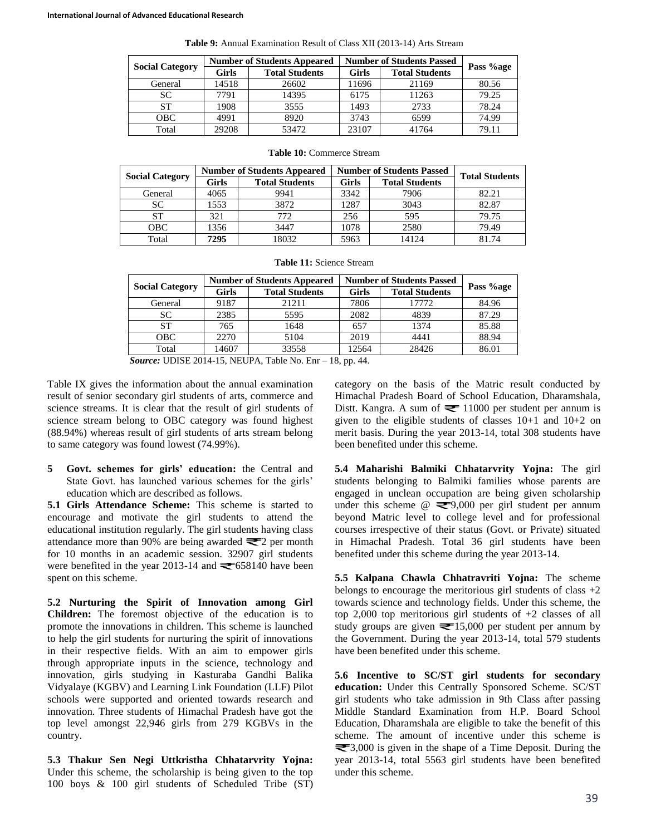| <b>Social Category</b> | <b>Number of Students Appeared</b> |                       | <b>Number of Students Passed</b> |                       |           |
|------------------------|------------------------------------|-----------------------|----------------------------------|-----------------------|-----------|
|                        | Girls                              | <b>Total Students</b> | Girls                            | <b>Total Students</b> | Pass %age |
| General                | 14518                              | 26602                 | 11696                            | 21169                 | 80.56     |
| <b>SC</b>              | 7791                               | 14395                 | 6175                             | 11263                 | 79.25     |
| <b>ST</b>              | 1908                               | 3555                  | 1493                             | 2733                  | 78.24     |
| OBC.                   | 4991                               | 8920                  | 3743                             | 6599                  | 74.99     |
| Total                  | 29208                              | 53472                 | 23107                            | 41764                 | 79.11     |

**Table 9:** Annual Examination Result of Class XII (2013-14) Arts Stream

| <b>Social Category</b> | <b>Number of Students Appeared</b> |                       | <b>Number of Students Passed</b> |                       |                       |
|------------------------|------------------------------------|-----------------------|----------------------------------|-----------------------|-----------------------|
|                        | Girls                              | <b>Total Students</b> | <b>Girls</b>                     | <b>Total Students</b> | <b>Total Students</b> |
| General                | 4065                               | 9941                  | 3342                             | 7906                  | 82.21                 |
| <b>SC</b>              | 1553                               | 3872                  | 1287                             | 3043                  | 82.87                 |
| <b>ST</b>              | 321                                | 772                   | 256                              | 595                   | 79.75                 |
| <b>OBC</b>             | 1356                               | 3447                  | 1078                             | 2580                  | 79.49                 |
| Total                  | 7295                               | 18032                 | 5963                             | 14124                 | 81.74                 |

**Table 10:** Commerce Stream

| <b>Social Category</b> | <b>Number of Students Appeared</b> |                       | <b>Number of Students Passed</b> |                       | Pass %age |
|------------------------|------------------------------------|-----------------------|----------------------------------|-----------------------|-----------|
|                        | Girls                              | <b>Total Students</b> | Girls                            | <b>Total Students</b> |           |
| General                | 9187                               | 21211                 | 7806                             | 17772                 | 84.96     |
| SС                     | 2385                               | 5595                  | 2082                             | 4839                  | 87.29     |
| <b>ST</b>              | 765                                | 1648                  | 657                              | 1374                  | 85.88     |
| OBC.                   | 2270                               | 5104                  | 2019                             | 4441                  | 88.94     |
| Total                  | 14607                              | 33558                 | 12564                            | 28426                 | 86.01     |

*Source:* UDISE 2014-15, NEUPA, Table No. Enr – 18, pp. 44.

Table IX gives the information about the annual examination result of senior secondary girl students of arts, commerce and science streams. It is clear that the result of girl students of science stream belong to OBC category was found highest (88.94%) whereas result of girl students of arts stream belong to same category was found lowest (74.99%).

**5 Govt. schemes for girls' education:** the Central and State Govt. has launched various schemes for the girls' education which are described as follows.

**5.1 Girls Attendance Scheme:** This scheme is started to encourage and motivate the girl students to attend the educational institution regularly. The girl students having class attendance more than 90% are being awarded  $\equiv 2$  per month for 10 months in an academic session. 32907 girl students were benefited in the year 2013-14 and  $\equiv 658140$  have been spent on this scheme.

**5.2 Nurturing the Spirit of Innovation among Girl Children:** The foremost objective of the education is to promote the innovations in children. This scheme is launched to help the girl students for nurturing the spirit of innovations in their respective fields. With an aim to empower girls through appropriate inputs in the science, technology and innovation, girls studying in Kasturaba Gandhi Balika Vidyalaye (KGBV) and Learning Link Foundation (LLF) Pilot schools were supported and oriented towards research and innovation. Three students of Himachal Pradesh have got the top level amongst 22,946 girls from 279 KGBVs in the country.

**5.3 Thakur Sen Negi Uttkristha Chhatarvrity Yojna:** Under this scheme, the scholarship is being given to the top 100 boys & 100 girl students of Scheduled Tribe (ST) category on the basis of the Matric result conducted by Himachal Pradesh Board of School Education, Dharamshala, Distt. Kangra. A sum of  $\equiv 11000$  per student per annum is given to the eligible students of classes 10+1 and 10+2 on merit basis. During the year 2013-14, total 308 students have been benefited under this scheme.

**5.4 Maharishi Balmiki Chhatarvrity Yojna:** The girl students belonging to Balmiki families whose parents are engaged in unclean occupation are being given scholarship under this scheme  $\omega \equiv 9,000$  per girl student per annum beyond Matric level to college level and for professional courses irrespective of their status (Govt. or Private) situated in Himachal Pradesh. Total 36 girl students have been benefited under this scheme during the year 2013-14.

**5.5 Kalpana Chawla Chhatravriti Yojna:** The scheme belongs to encourage the meritorious girl students of class  $+2$ towards science and technology fields. Under this scheme, the top 2,000 top meritorious girl students of +2 classes of all study groups are given  $\equiv 15,000$  per student per annum by the Government. During the year 2013-14, total 579 students have been benefited under this scheme.

**5.6 Incentive to SC/ST girl students for secondary education:** Under this Centrally Sponsored Scheme. SC/ST girl students who take admission in 9th Class after passing Middle Standard Examination from H.P. Board School Education, Dharamshala are eligible to take the benefit of this scheme. The amount of incentive under this scheme is ₹3,000 is given in the shape of a Time Deposit. During the year 2013-14, total 5563 girl students have been benefited under this scheme.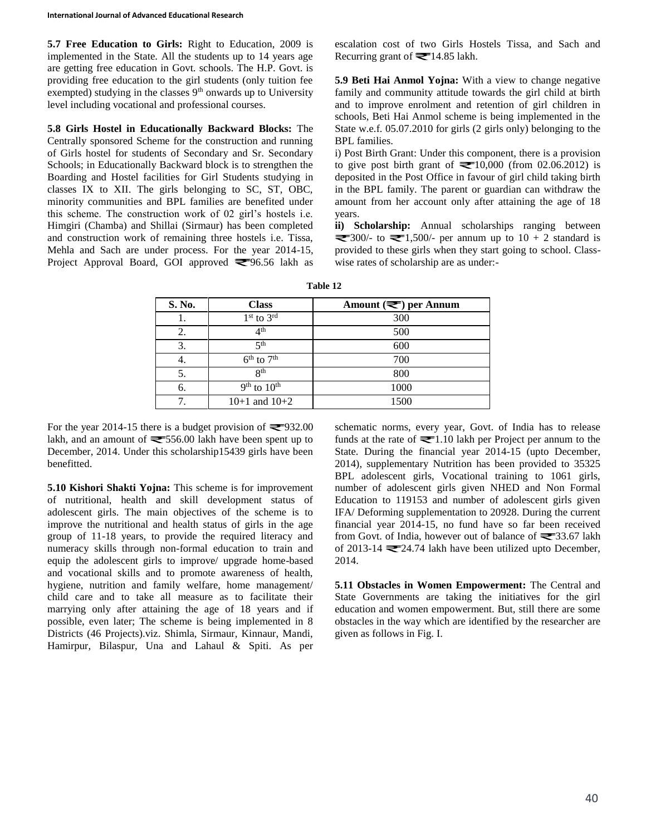**5.7 Free Education to Girls:** Right to Education, 2009 is implemented in the State. All the students up to 14 years age are getting free education in Govt. schools. The H.P. Govt. is providing free education to the girl students (only tuition fee exempted) studying in the classes  $9<sup>th</sup>$  onwards up to University level including vocational and professional courses.

**5.8 Girls Hostel in Educationally Backward Blocks:** The Centrally sponsored Scheme for the construction and running of Girls hostel for students of Secondary and Sr. Secondary Schools; in Educationally Backward block is to strengthen the Boarding and Hostel facilities for Girl Students studying in classes IX to XII. The girls belonging to SC, ST, OBC, minority communities and BPL families are benefited under this scheme. The construction work of 02 girl's hostels i.e. Himgiri (Chamba) and Shillai (Sirmaur) has been completed and construction work of remaining three hostels i.e. Tissa, Mehla and Sach are under process. For the year 2014-15, Project Approval Board, GOI approved  $\blacktriangleright$ 96.56 lakh as

escalation cost of two Girls Hostels Tissa, and Sach and Recurring grant of  $\equiv 14.85$  lakh.

**5.9 Beti Hai Anmol Yojna:** With a view to change negative family and community attitude towards the girl child at birth and to improve enrolment and retention of girl children in schools, Beti Hai Anmol scheme is being implemented in the State w.e.f. 05.07.2010 for girls (2 girls only) belonging to the BPL families.

i) Post Birth Grant: Under this component, there is a provision to give post birth grant of  $\equiv 10,000$  (from 02.06.2012) is deposited in the Post Office in favour of girl child taking birth in the BPL family. The parent or guardian can withdraw the amount from her account only after attaining the age of 18 years.

**ii) Scholarship:** Annual scholarships ranging between  $\approx$  300/- to  $\approx$  1,500/- per annum up to 10 + 2 standard is provided to these girls when they start going to school. Classwise rates of scholarship are as under:-

| S. No. | <b>Class</b>         | Amount $(\equiv)$ per Annum |
|--------|----------------------|-----------------------------|
| Ī.     | $1st$ to $3rd$       | 300                         |
| 2.     | 4 <sup>th</sup>      | 500                         |
| 3.     | $\leq$ <sup>th</sup> | 600                         |
| 4.     | $6th$ to $7th$       | 700                         |
| 5.     | $\mathbf{Q}$ th      | 800                         |
| 6.     | $9th$ to $10th$      | 1000                        |
| 7.     | $10+1$ and $10+2$    | 1500                        |

**Table 12**

For the year 2014-15 there is a budget provision of  $\equiv$  932.00 lakh, and an amount of  $\equiv 556.00$  lakh have been spent up to December, 2014. Under this scholarship15439 girls have been benefitted.

**5.10 Kishori Shakti Yojna:** This scheme is for improvement of nutritional, health and skill development status of adolescent girls. The main objectives of the scheme is to improve the nutritional and health status of girls in the age group of 11-18 years, to provide the required literacy and numeracy skills through non-formal education to train and equip the adolescent girls to improve/ upgrade home-based and vocational skills and to promote awareness of health, hygiene, nutrition and family welfare, home management/ child care and to take all measure as to facilitate their marrying only after attaining the age of 18 years and if possible, even later; The scheme is being implemented in 8 Districts (46 Projects).viz. Shimla, Sirmaur, Kinnaur, Mandi, Hamirpur, Bilaspur, Una and Lahaul & Spiti. As per

schematic norms, every year, Govt. of India has to release funds at the rate of  $\equiv 1.10$  lakh per Project per annum to the State. During the financial year 2014-15 (upto December, 2014), supplementary Nutrition has been provided to 35325 BPL adolescent girls, Vocational training to 1061 girls, number of adolescent girls given NHED and Non Formal Education to 119153 and number of adolescent girls given IFA/ Deforming supplementation to 20928. During the current financial year 2014-15, no fund have so far been received from Govt. of India, however out of balance of  $\equiv$  33.67 lakh of 2013-14  $\equiv$  24.74 lakh have been utilized upto December, 2014.

**5.11 Obstacles in Women Empowerment:** The Central and State Governments are taking the initiatives for the girl education and women empowerment. But, still there are some obstacles in the way which are identified by the researcher are given as follows in Fig. I.